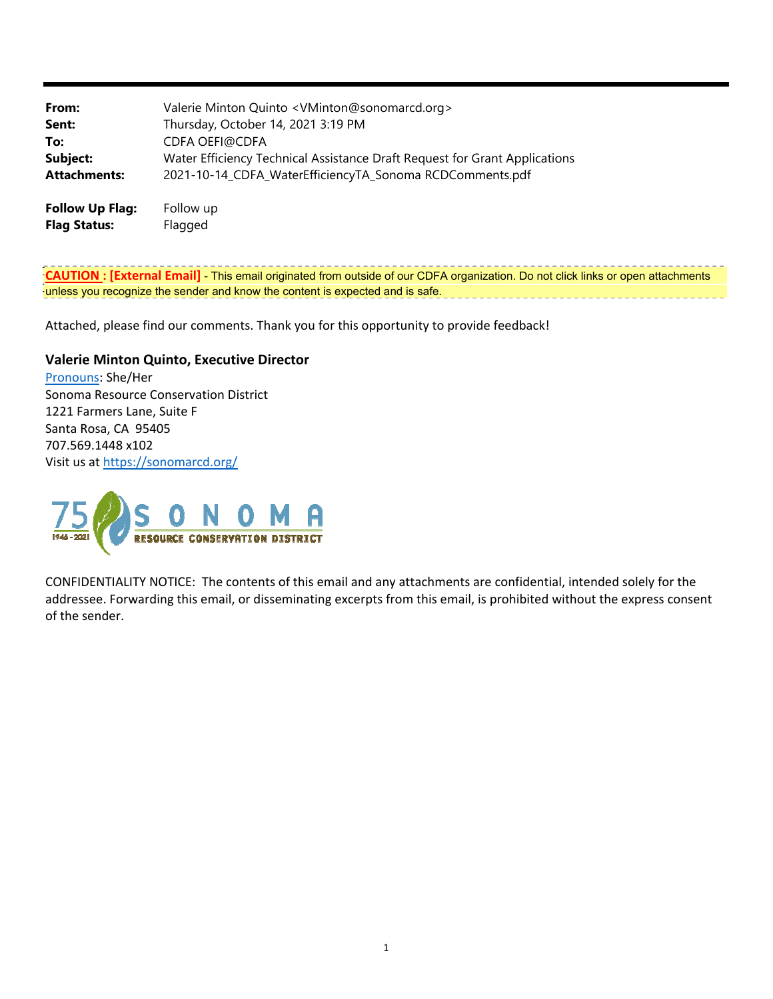| From:               | Valerie Minton Quinto <vminton@sonomarcd.org></vminton@sonomarcd.org>      |
|---------------------|----------------------------------------------------------------------------|
| Sent:               | Thursday, October 14, 2021 3:19 PM                                         |
| To:                 | <b>CDFA OEFI@CDFA</b>                                                      |
| Subject:            | Water Efficiency Technical Assistance Draft Request for Grant Applications |
| <b>Attachments:</b> | 2021-10-14_CDFA_WaterEfficiencyTA_Sonoma RCDComments.pdf                   |
|                     |                                                                            |

**Follow Up Flag:** Follow up **Flag Status:** Flagged

**CAUTION : [External Email]** - This email originated from outside of our CDFA organization. Do not click links or open attachments unless you recognize the sender and know the content is expected and is safe.

Attached, please find our comments. Thank you for this opportunity to provide feedback!

#### **Valerie Minton Quinto, Executive Director**

Pronouns: She/Her Sonoma Resource Conservation District 1221 Farmers Lane, Suite F Santa Rosa, CA 95405 707.569.1448 x102 Visit us at [https://sonomarcd.org/](http:https://sonomarcd.org)



CONFIDENTIALITY NOTICE: The contents of this email and any attachments are confidential, intended solely for the addressee. Forwarding this email, or disseminating excerpts from this email, is prohibited without the express consent of the sender.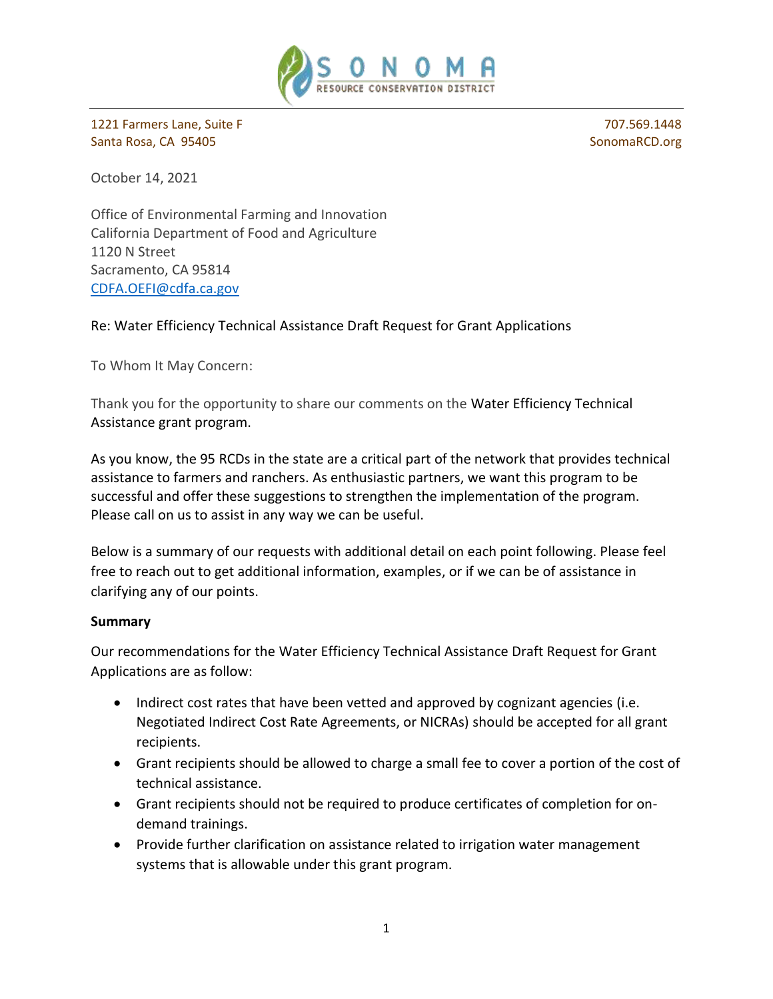

1221 Farmers Lane, Suite F 707.569.1448 Santa Rosa, CA 95405 [SonomaRCD.org](http:SonomaRCD.org) Santa Rosa, CA 95405

October 14, 2021

Office of Environmental Farming and Innovation California Department of Food and Agriculture 1120 N Street Sacramento, CA 95814 [CDFA.OEFI@cdfa.ca.gov](mailto:CDFA.OEFI@cdfa.ca.gov) 

Re: Water Efficiency Technical Assistance Draft Request for Grant Applications

To Whom It May Concern:

Thank you for the opportunity to share our comments on the Water Efficiency Technical Assistance grant program.

As you know, the 95 RCDs in the state are a critical part of the network that provides technical assistance to farmers and ranchers. As enthusiastic partners, we want this program to be successful and offer these suggestions to strengthen the implementation of the program. Please call on us to assist in any way we can be useful.

Below is a summary of our requests with additional detail on each point following. Please feel free to reach out to get additional information, examples, or if we can be of assistance in clarifying any of our points.

#### **Summary**

Our recommendations for the Water Efficiency Technical Assistance Draft Request for Grant Applications are as follow:

- Indirect cost rates that have been vetted and approved by cognizant agencies (i.e. Negotiated Indirect Cost Rate Agreements, or NICRAs) should be accepted for all grant recipients.
- Grant recipients should be allowed to charge a small fee to cover a portion of the cost of technical assistance.
- Grant recipients should not be required to produce certificates of completion for ondemand trainings.
- Provide further clarification on assistance related to irrigation water management systems that is allowable under this grant program.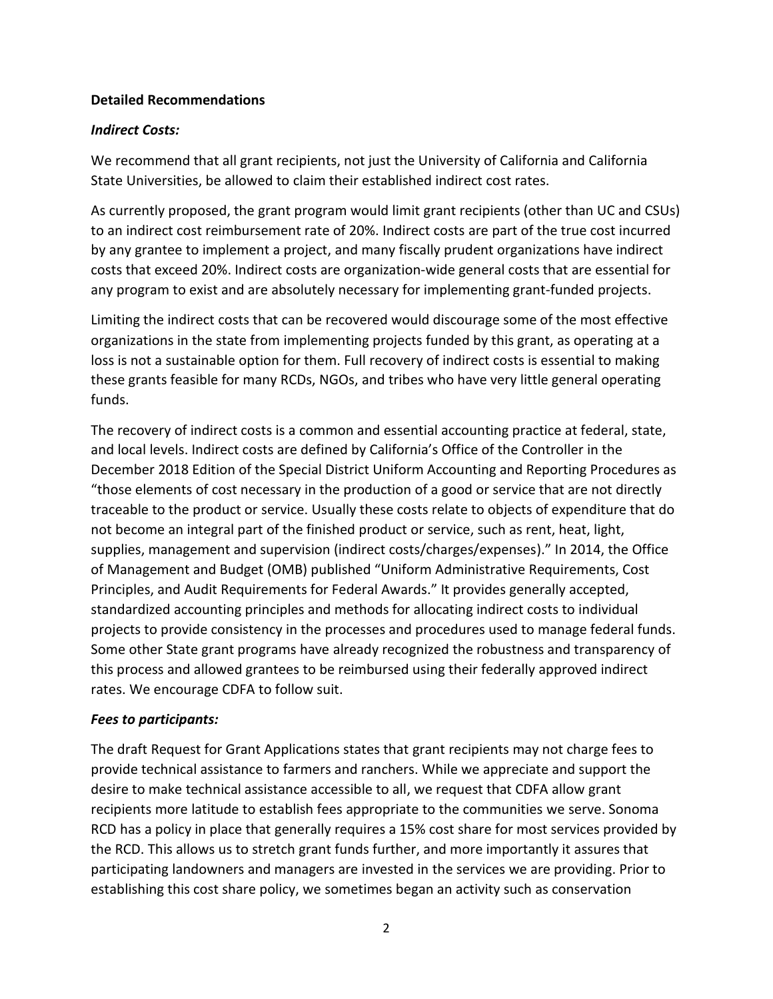#### **Detailed Recommendations**

#### *Indirect Costs:*

We recommend that all grant recipients, not just the University of California and California State Universities, be allowed to claim their established indirect cost rates.

As currently proposed, the grant program would limit grant recipients (other than UC and CSUs) to an indirect cost reimbursement rate of 20%. Indirect costs are part of the true cost incurred by any grantee to implement a project, and many fiscally prudent organizations have indirect costs that exceed 20%. Indirect costs are organization-wide general costs that are essential for any program to exist and are absolutely necessary for implementing grant-funded projects.

Limiting the indirect costs that can be recovered would discourage some of the most effective organizations in the state from implementing projects funded by this grant, as operating at a loss is not a sustainable option for them. Full recovery of indirect costs is essential to making these grants feasible for many RCDs, NGOs, and tribes who have very little general operating funds.

The recovery of indirect costs is a common and essential accounting practice at federal, state, and local levels. Indirect costs are defined by California's Office of the Controller in the December 2018 Edition of the Special District Uniform Accounting and Reporting Procedures as "those elements of cost necessary in the production of a good or service that are not directly traceable to the product or service. Usually these costs relate to objects of expenditure that do not become an integral part of the finished product or service, such as rent, heat, light, supplies, management and supervision (indirect costs/charges/expenses)." In 2014, the Office of Management and Budget (OMB) published "Uniform Administrative Requirements, Cost Principles, and Audit Requirements for Federal Awards." It provides generally accepted, standardized accounting principles and methods for allocating indirect costs to individual projects to provide consistency in the processes and procedures used to manage federal funds. Some other State grant programs have already recognized the robustness and transparency of this process and allowed grantees to be reimbursed using their federally approved indirect rates. We encourage CDFA to follow suit.

## *Fees to participants:*

The draft Request for Grant Applications states that grant recipients may not charge fees to provide technical assistance to farmers and ranchers. While we appreciate and support the desire to make technical assistance accessible to all, we request that CDFA allow grant recipients more latitude to establish fees appropriate to the communities we serve. Sonoma RCD has a policy in place that generally requires a 15% cost share for most services provided by the RCD. This allows us to stretch grant funds further, and more importantly it assures that participating landowners and managers are invested in the services we are providing. Prior to establishing this cost share policy, we sometimes began an activity such as conservation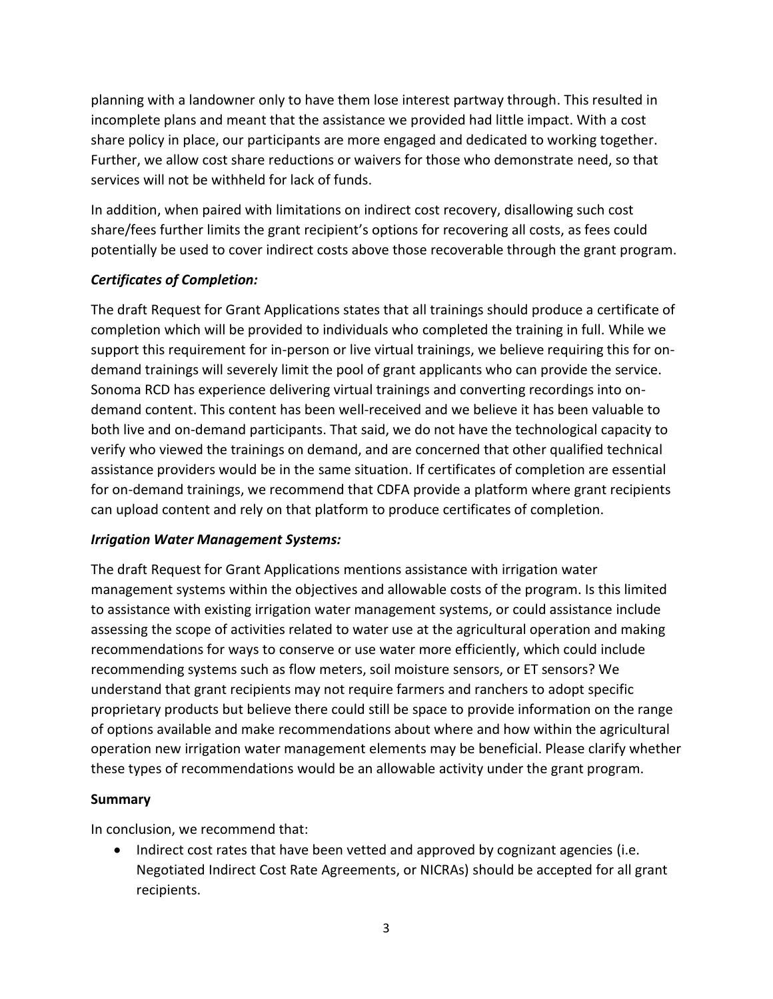planning with a landowner only to have them lose interest partway through. This resulted in incomplete plans and meant that the assistance we provided had little impact. With a cost share policy in place, our participants are more engaged and dedicated to working together. Further, we allow cost share reductions or waivers for those who demonstrate need, so that services will not be withheld for lack of funds.

In addition, when paired with limitations on indirect cost recovery, disallowing such cost share/fees further limits the grant recipient's options for recovering all costs, as fees could potentially be used to cover indirect costs above those recoverable through the grant program.

## *Certificates of Completion:*

The draft Request for Grant Applications states that all trainings should produce a certificate of completion which will be provided to individuals who completed the training in full. While we support this requirement for in-person or live virtual trainings, we believe requiring this for ondemand trainings will severely limit the pool of grant applicants who can provide the service. Sonoma RCD has experience delivering virtual trainings and converting recordings into ondemand content. This content has been well-received and we believe it has been valuable to both live and on-demand participants. That said, we do not have the technological capacity to verify who viewed the trainings on demand, and are concerned that other qualified technical assistance providers would be in the same situation. If certificates of completion are essential for on-demand trainings, we recommend that CDFA provide a platform where grant recipients can upload content and rely on that platform to produce certificates of completion.

## *Irrigation Water Management Systems:*

The draft Request for Grant Applications mentions assistance with irrigation water management systems within the objectives and allowable costs of the program. Is this limited to assistance with existing irrigation water management systems, or could assistance include assessing the scope of activities related to water use at the agricultural operation and making recommendations for ways to conserve or use water more efficiently, which could include recommending systems such as flow meters, soil moisture sensors, or ET sensors? We understand that grant recipients may not require farmers and ranchers to adopt specific proprietary products but believe there could still be space to provide information on the range of options available and make recommendations about where and how within the agricultural operation new irrigation water management elements may be beneficial. Please clarify whether these types of recommendations would be an allowable activity under the grant program.

## **Summary**

In conclusion, we recommend that:

 • Indirect cost rates that have been vetted and approved by cognizant agencies (i.e. Negotiated Indirect Cost Rate Agreements, or NICRAs) should be accepted for all grant recipients.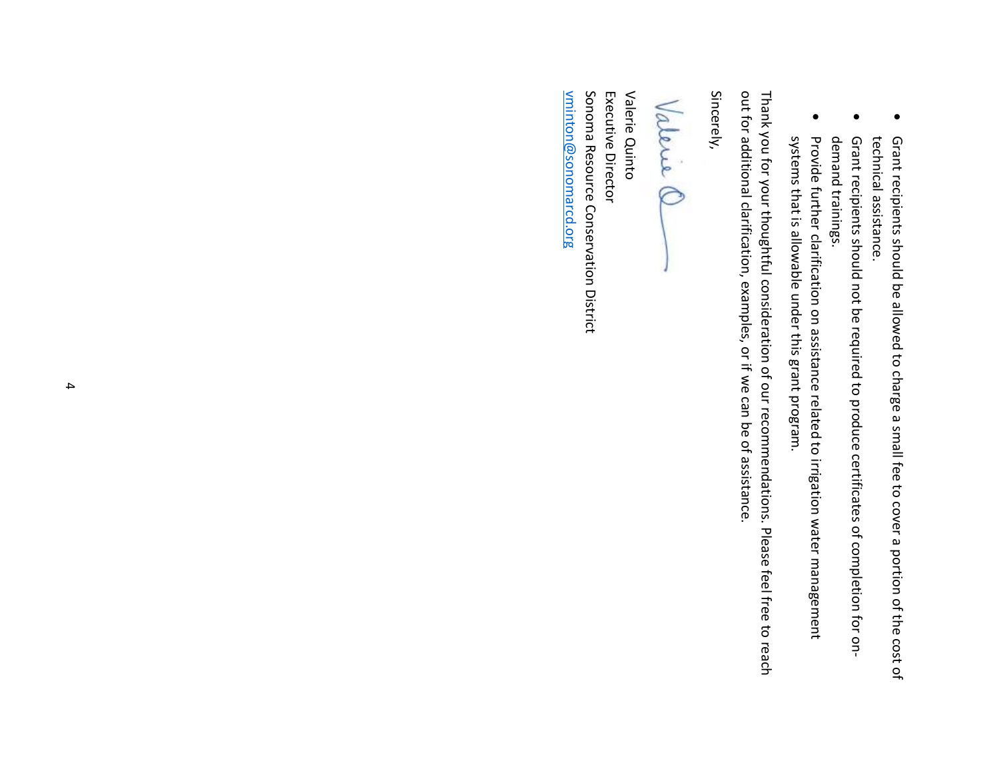- technical assistance.
- Grant recipients should not be required to produce certificates of completion for ondemand trainings.
- Provide further clarification on assistance related to irrigation water management systems that is allowable under this grant program.

● Grant recipients should be allowed to charge a small fee to cover a portion of the cost of technical assistance.<br>
technical assistance.<br>
→ Grant recipients should not be required to produce certificates of completion Thank you for your thoughtful consideration of our recommendations. Please feel free to reach out for additional clarification, examples, or if we can be of assistance.

Sincerely,

Sonoma Resource Conservation District Executive Director Valerie Quinto <u>vminton@sonomarcd.org</u> [vminton@sonomarcd.org](mailto:vminton@sonomarcd.org)  Sonoma Resource Conservation District Executive Director Valerie Quinto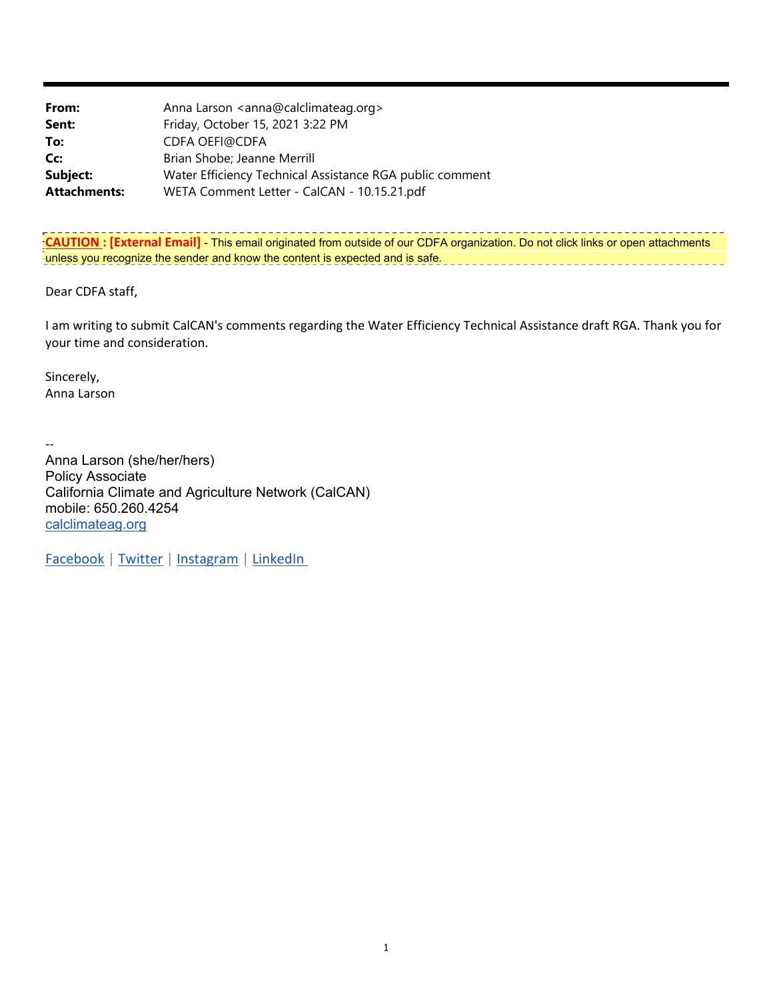| From:               | Anna Larson <anna@calclimateag.org></anna@calclimateag.org> |
|---------------------|-------------------------------------------------------------|
| Sent:               | Friday, October 15, 2021 3:22 PM                            |
| To:                 | <b>CDFA OEFI@CDFA</b>                                       |
| Cc:                 | Brian Shobe; Jeanne Merrill                                 |
| Subject:            | Water Efficiency Technical Assistance RGA public comment    |
| <b>Attachments:</b> | WETA Comment Letter - CalCAN - 10.15.21.pdf                 |

**CAUTION : [External Email]** - This email originated from outside of our CDFA organization. Do not click links or open attachments unless you recognize the sender and know the content is expected and is safe.

Dear CDFA staff,

 I am writing to submit CalCAN's comments regarding the Water Efficiency Technical Assistance draft RGA. Thank you for your time and consideration.

Sincerely, Anna Larson

 $\overline{\phantom{a}}$ 

 Anna Larson (she/her/hers) Policy Associate California Climate and Agriculture Network (CalCAN) mobile: 650.260.4254 [calclimateag.org](http:calclimateag.org)

Facebook | Twitter | Instagram | LinkedIn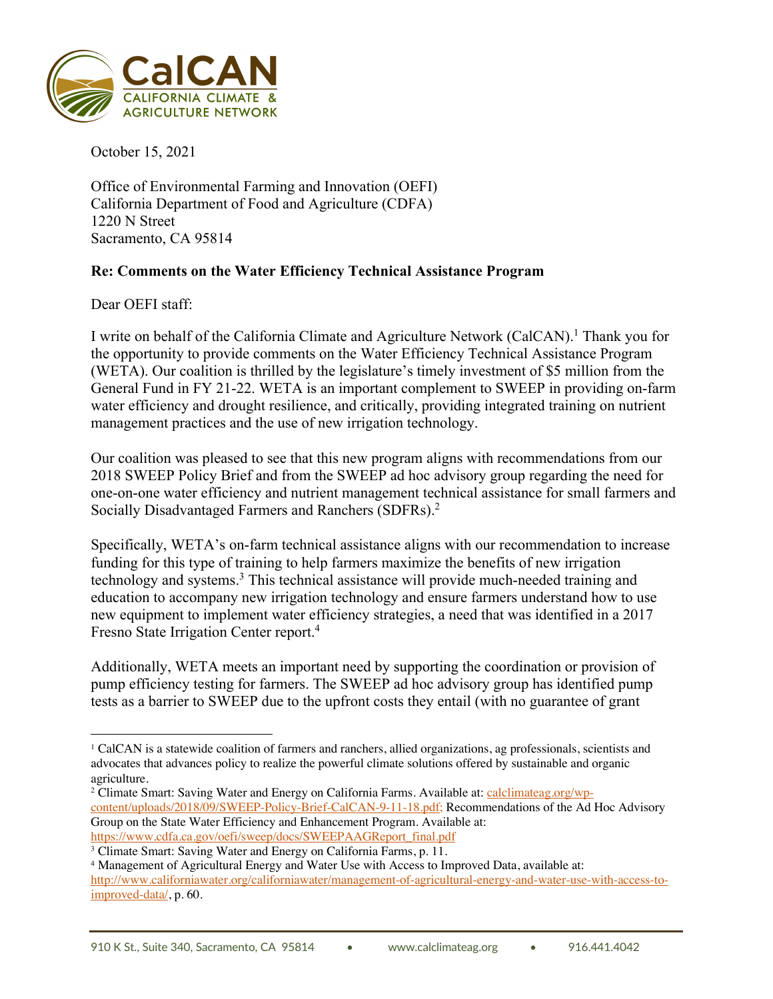

October 15, 2021

Office of Environmental Farming and Innovation (OEFI) California Department of Food and Agriculture (CDFA) 1220 N Street Sacramento, CA 95814

# **Re: Comments on the Water Efficiency Technical Assistance Program**

Dear OEFI staff:

I write on behalf of the California Climate and Agriculture Network (CalCAN).<sup>1</sup> Thank you for the opportunity to provide comments on the Water Efficiency Technical Assistance Program (WETA). Our coalition is thrilled by the legislature's timely investment of \$5 million from the General Fund in FY 21-22. WETA is an important complement to SWEEP in providing on-farm water efficiency and drought resilience, and critically, providing integrated training on nutrient management practices and the use of new irrigation technology.

Our coalition was pleased to see that this new program aligns with recommendations from our 2018 SWEEP Policy Brief and from the SWEEP ad hoc advisory group regarding the need for one-on-one water efficiency and nutrient management technical assistance for small farmers and Socially Disadvantaged Farmers and Ranchers (SDFRs).2

Specifically, WETA's on-farm technical assistance aligns with our recommendation to increase funding for this type of training to help farmers maximize the benefits of new irrigation technology and systems.3 This technical assistance will provide much-needed training and education to accompany new irrigation technology and ensure farmers understand how to use new equipment to implement water efficiency strategies, a need that was identified in a 2017 Fresno State Irrigation Center report.4

Additionally, WETA meets an important need by supporting the coordination or provision of pump efficiency testing for farmers. The SWEEP ad hoc advisory group has identified pump tests as a barrier to SWEEP due to the upfront costs they entail (with no guarantee of grant

<sup>1</sup> CalCAN is a statewide coalition of farmers and ranchers, allied organizations, ag professionals, scientists and advocates that advances policy to realize the powerful climate solutions offered by sustainable and organic agriculture.

<sup>&</sup>lt;sup>2</sup> Climate Smart: Saving Water and Energy on California Farms. Available at: [calclimateag.org/wp](https://calclimateag.org/wp)content/uploads/2018/09/SWEEP-Policy-Brief-CalCAN-9-11-18.pdf; Recommendations of the Ad Hoc Advisory Group on the State Water Efficiency and Enhancement Program. Available at: [https://www.cdfa.ca.gov/oefi/sweep/docs/SWEEPAAGReport\\_final.pdf](https://www.cdfa.ca.gov/oefi/sweep/docs/SWEEPAAGReport_final.pdf)

<sup>&</sup>lt;sup>3</sup> Climate Smart: Saving Water and Energy on California Farms, p. 11.

 improved-data/, p. 60. <sup>4</sup> Management of Agricultural Energy and Water Use with Access to Improved Data, available at: <http://www.californiawater.org/californiawater/management-of-agricultural-energy-and-water-use-with-access-to>-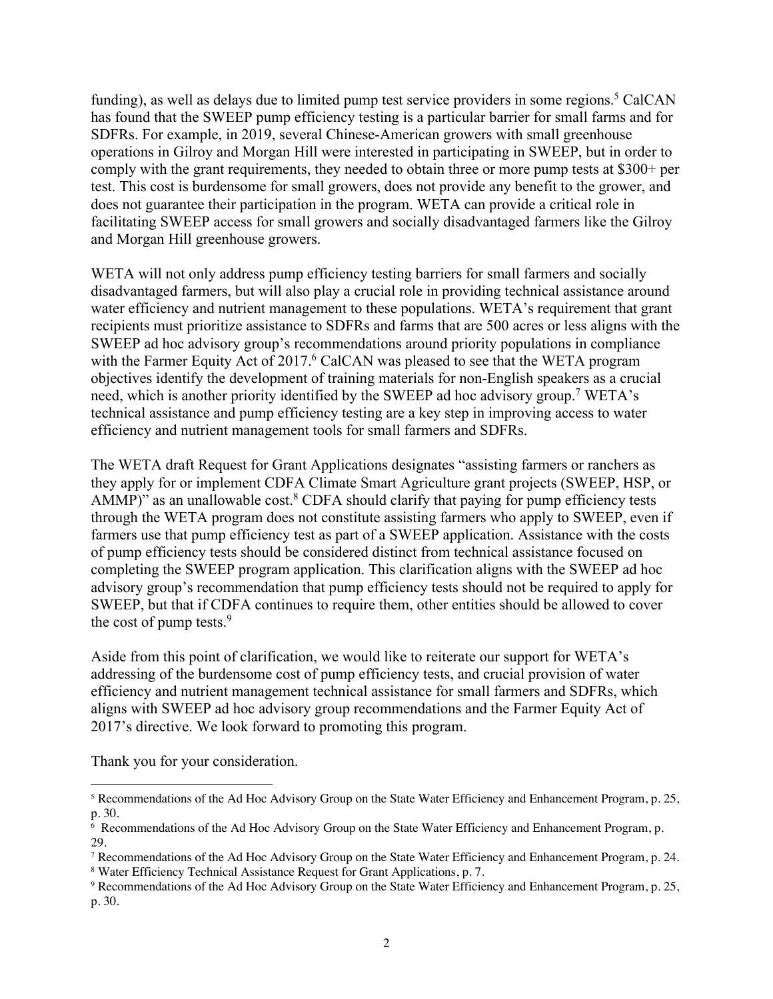funding), as well as delays due to limited pump test service providers in some regions.<sup>5</sup> CalCAN has found that the SWEEP pump efficiency testing is a particular barrier for small farms and for SDFRs. For example, in 2019, several Chinese-American growers with small greenhouse operations in Gilroy and Morgan Hill were interested in participating in SWEEP, but in order to comply with the grant requirements, they needed to obtain three or more pump tests at \$300+ per test. This cost is burdensome for small growers, does not provide any benefit to the grower, and does not guarantee their participation in the program. WETA can provide a critical role in facilitating SWEEP access for small growers and socially disadvantaged farmers like the Gilroy and Morgan Hill greenhouse growers.

WETA will not only address pump efficiency testing barriers for small farmers and socially disadvantaged farmers, but will also play a crucial role in providing technical assistance around water efficiency and nutrient management to these populations. WETA's requirement that grant recipients must prioritize assistance to SDFRs and farms that are 500 acres or less aligns with the SWEEP ad hoc advisory group's recommendations around priority populations in compliance with the Farmer Equity Act of 2017.<sup>6</sup> CalCAN was pleased to see that the WETA program objectives identify the development of training materials for non-English speakers as a crucial need, which is another priority identified by the SWEEP ad hoc advisory group.7 WETA's technical assistance and pump efficiency testing are a key step in improving access to water efficiency and nutrient management tools for small farmers and SDFRs.

The WETA draft Request for Grant Applications designates "assisting farmers or ranchers as they apply for or implement CDFA Climate Smart Agriculture grant projects (SWEEP, HSP, or AMMP)" as an unallowable cost. $8$  CDFA should clarify that paying for pump efficiency tests through the WETA program does not constitute assisting farmers who apply to SWEEP, even if farmers use that pump efficiency test as part of a SWEEP application. Assistance with the costs of pump efficiency tests should be considered distinct from technical assistance focused on completing the SWEEP program application. This clarification aligns with the SWEEP ad hoc advisory group's recommendation that pump efficiency tests should not be required to apply for SWEEP, but that if CDFA continues to require them, other entities should be allowed to cover the cost of pump tests.<sup>9</sup>

Aside from this point of clarification, we would like to reiterate our support for WETA's addressing of the burdensome cost of pump efficiency tests, and crucial provision of water efficiency and nutrient management technical assistance for small farmers and SDFRs, which aligns with SWEEP ad hoc advisory group recommendations and the Farmer Equity Act of 2017's directive. We look forward to promoting this program.

Thank you for your consideration.

<sup>5</sup> Recommendations of the Ad Hoc Advisory Group on the State Water Efficiency and Enhancement Program, p. 25, p. 30.

<sup>6</sup> Recommendations of the Ad Hoc Advisory Group on the State Water Efficiency and Enhancement Program, p. 29.

<sup>7</sup> Recommendations of the Ad Hoc Advisory Group on the State Water Efficiency and Enhancement Program, p. 24. <sup>8</sup> Water Efficiency Technical Assistance Request for Grant Applications, p. 7.

<sup>9</sup> Recommendations of the Ad Hoc Advisory Group on the State Water Efficiency and Enhancement Program, p. 25, p. 30.